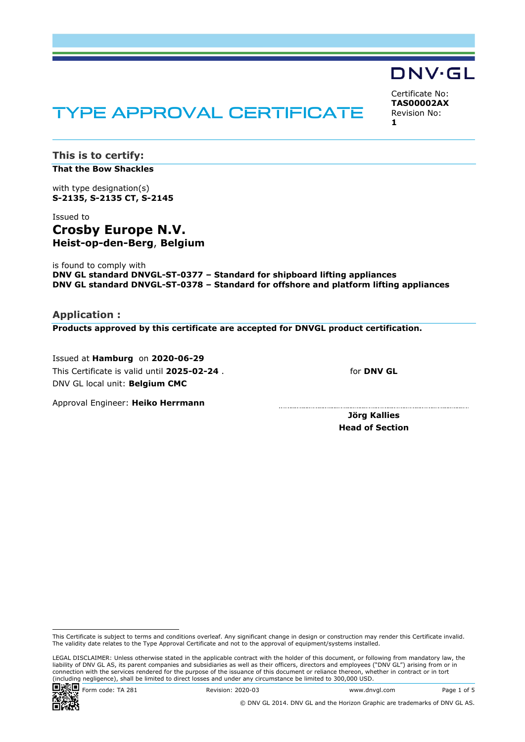# TYPE APPROVAL CERTIFICATE

Certificate No: **TAS00002AX** Revision No: **1**

DNV·GL

**This is to certify: That the Bow Shackles**

with type designation(s) **S-2135, S-2135 CT, S-2145**

## Issued to **Crosby Europe N.V. Heist-op-den-Berg**, **Belgium**

is found to comply with **DNV GL standard DNVGL-ST-0377 – Standard for shipboard lifting appliances DNV GL standard DNVGL-ST-0378 – Standard for offshore and platform lifting appliances**

**Application : Products approved by this certificate are accepted for DNVGL product certification.**

Issued at **Hamburg** on **2020-06-29** This Certificate is valid until **2025-02-24** . DNV GL local unit: **Belgium CMC**

for **DNV GL**

Approval Engineer: **Heiko Herrmann**

**Jörg Kallies Head of Section**

LEGAL DISCLAIMER: Unless otherwise stated in the applicable contract with the holder of this document, or following from mandatory law, the liability of DNV GL AS, its parent companies and subsidiaries as well as their officers, directors and employees ("DNV GL") arising from or in connection with the services rendered for the purpose of the issuance of this document or reliance thereon, whether in contract or in tort (including negligence), shall be limited to direct losses and under any circumstance be limited to 300,000 USD.



www.dnvgl.com Code: TA 281 Revision: 2020-03 Www.dnvgl.com Page 1 of 5



This Certificate is subject to terms and conditions overleaf. Any significant change in design or construction may render this Certificate invalid. The validity date relates to the Type Approval Certificate and not to the approval of equipment/systems installed.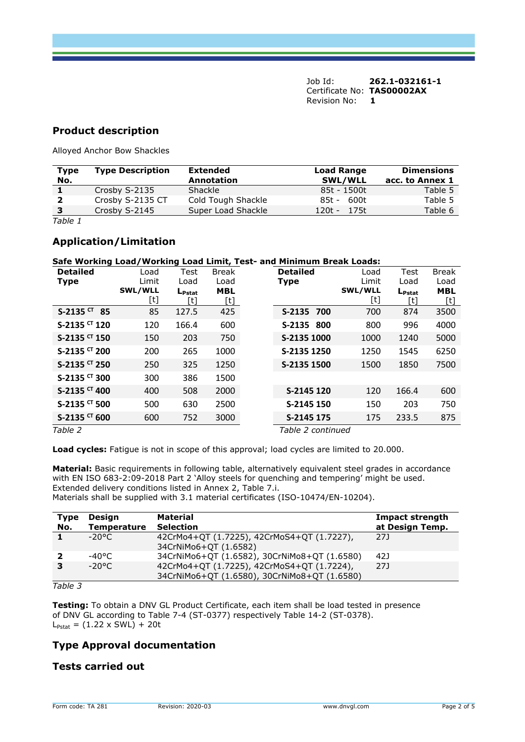Job Id: **262.1-032161-1**  Certificate No: **TAS00002AX** Revision No: **1** 

#### **Product description**

Alloyed Anchor Bow Shackles

| Type         | <b>Type Description</b> | <b>Extended</b>    | <b>Load Range</b> | <b>Dimensions</b> |
|--------------|-------------------------|--------------------|-------------------|-------------------|
| No.          |                         | Annotation         | <b>SWL/WLL</b>    | acc. to Annex 1   |
|              | Crosby S-2135           | Shackle            | 85t - 1500t       | Table 5           |
|              | Crosby S-2135 CT        | Cold Tough Shackle | 600t<br>85t -     | Table 5           |
| $\mathbf{3}$ | Crosby S-2145           | Super Load Shackle | $120t - 175t$     | Table 6           |
|              |                         |                    |                   |                   |

*Table 1*

#### **Application/Limitation**

#### **Safe Working Load/Working Load Limit, Test- and Minimum Break Loads:**

| <b>Detailed</b>            | Load    | Test               | <b>Break</b> | <b>Detailed</b>   | Load    | Test               | <b>Break</b> |
|----------------------------|---------|--------------------|--------------|-------------------|---------|--------------------|--------------|
| <b>Type</b>                | Limit   | Load               | Load         | <b>Type</b>       | Limit   | Load               | Load         |
|                            | SWL/WLL | $L_{\text{Pstat}}$ | <b>MBL</b>   |                   | SWL/WLL | $L_{\text{Pstat}}$ | <b>MBL</b>   |
|                            | [t]     | [t]                | [t]          |                   | [t]     | [t]                | [t]          |
| $S-2135$ CT<br>-85         | 85      | 127.5              | 425          | S-2135 700        | 700     | 874                | 3500         |
| $S-2135$ <sup>CT</sup> 120 | 120     | 166.4              | 600          | S-2135 800        | 800     | 996                | 4000         |
| $S-2135$ <sup>CT</sup> 150 | 150     | 203                | 750          | S-2135 1000       | 1000    | 1240               | 5000         |
| $S-2135$ <sup>CT</sup> 200 | 200     | 265                | 1000         | S-2135 1250       | 1250    | 1545               | 6250         |
| $S-2135$ <sup>CT</sup> 250 | 250     | 325                | 1250         | S-2135 1500       | 1500    | 1850               | 7500         |
| $S-2135$ <sup>CT</sup> 300 | 300     | 386                | 1500         |                   |         |                    |              |
| $S-2135$ <sup>CT</sup> 400 | 400     | 508                | 2000         | S-2145 120        | 120     | 166.4              | 600          |
| S-2135 <sup>CT</sup> 500   | 500     | 630                | 2500         | S-2145 150        | 150     | 203                | 750          |
| S-2135 <sup>CT</sup> 600   | 600     | 752                | 3000         | S-2145 175        | 175     | 233.5              | 875          |
| Table 2                    |         |                    |              | Table 2 continued |         |                    |              |

**Load cycles:** Fatigue is not in scope of this approval; load cycles are limited to 20.000.

**Material:** Basic requirements in following table, alternatively equivalent steel grades in accordance with EN ISO 683-2:09-2018 Part 2 'Alloy steels for quenching and tempering' might be used. Extended delivery conditions listed in Annex 2, Table 7.i. Materials shall be supplied with 3.1 material certificates (ISO-10474/EN-10204).

| <b>Type</b> | Design             | <b>Material</b>                              | Impact strength |
|-------------|--------------------|----------------------------------------------|-----------------|
| No.         | <b>Temperature</b> | <b>Selection</b>                             | at Design Temp. |
|             | -20°C.             | 42CrMo4+QT (1.7225), 42CrMoS4+QT (1.7227),   | 27J             |
|             |                    | 34CrNiMo6+QT (1.6582)                        |                 |
|             | -40°C.             | 34CrNiMo6+QT (1.6582), 30CrNiMo8+QT (1.6580) | 42J             |
|             | $-20^{\circ}$ C    | 42CrMo4+QT (1.7225), 42CrMoS4+QT (1.7224),   | 27J             |
|             |                    | 34CrNiMo6+QT (1.6580), 30CrNiMo8+QT (1.6580) |                 |

*Table 3*

**Testing:** To obtain a DNV GL Product Certificate, each item shall be load tested in presence of DNV GL according to Table 7-4 (ST-0377) respectively Table 14-2 (ST-0378).  $L_{\text{Pstat}} = (1.22 \times SWL) + 20t$ 

#### **Type Approval documentation**

#### **Tests carried out**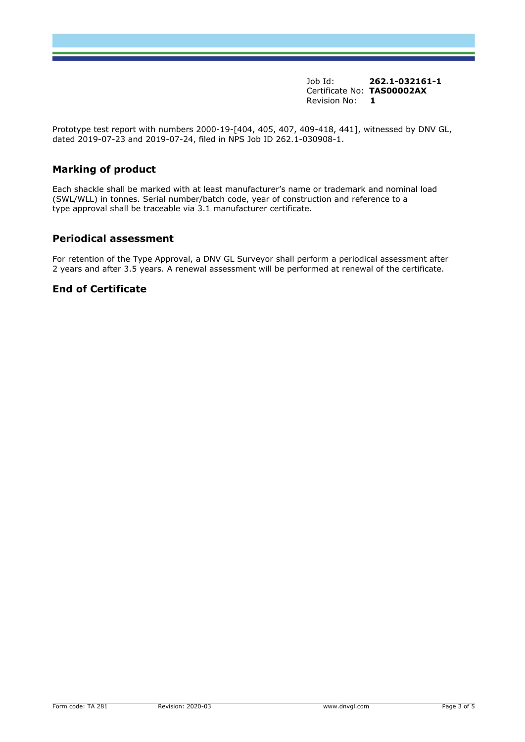Job Id: **262.1-032161-1**  Certificate No: **TAS00002AX** Revision No: **1** 

Prototype test report with numbers 2000-19-[404, 405, 407, 409-418, 441], witnessed by DNV GL, dated 2019-07-23 and 2019-07-24, filed in NPS Job ID 262.1-030908-1.

### **Marking of product**

Each shackle shall be marked with at least manufacturer's name or trademark and nominal load (SWL/WLL) in tonnes. Serial number/batch code, year of construction and reference to a type approval shall be traceable via 3.1 manufacturer certificate.

#### **Periodical assessment**

For retention of the Type Approval, a DNV GL Surveyor shall perform a periodical assessment after 2 years and after 3.5 years. A renewal assessment will be performed at renewal of the certificate.

#### **End of Certificate**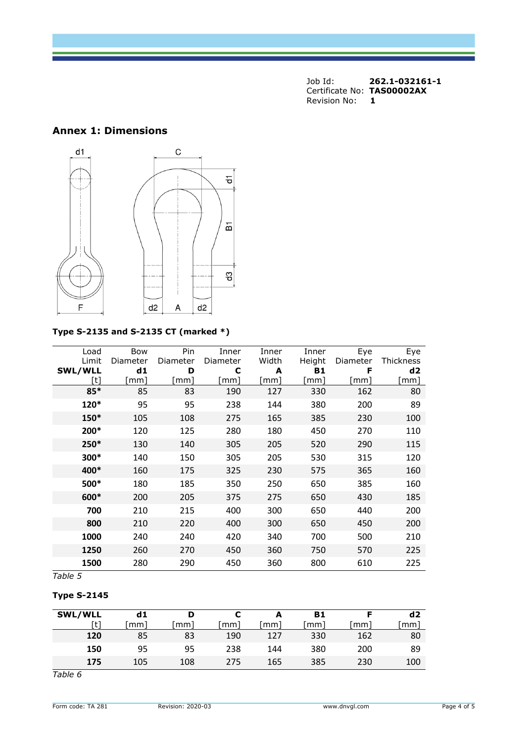| Job Id:                    | 262.1-032161-1 |
|----------------------------|----------------|
| Certificate No: TAS00002AX |                |
| Revision No:               |                |

## **Annex 1: Dimensions**



## **Type S-2135 and S-2135 CT (marked \*)**

| Load    | Bow      | Pin      | Inner    | Inner | Inner  | Eye      | Eye              |
|---------|----------|----------|----------|-------|--------|----------|------------------|
| Limit   | Diameter | Diameter | Diameter | Width | Height | Diameter | <b>Thickness</b> |
| SWL/WLL | d1       | D        | С        | A     | B1     | F        | d2               |
| [t]     | [mm]     | mm]      | mm]      | [mm]  | [mm]   | [mm]     | mm]              |
| 85*     | 85       | 83       | 190      | 127   | 330    | 162      | 80               |
| 120*    | 95       | 95       | 238      | 144   | 380    | 200      | 89               |
| 150*    | 105      | 108      | 275      | 165   | 385    | 230      | 100              |
| 200*    | 120      | 125      | 280      | 180   | 450    | 270      | 110              |
| 250*    | 130      | 140      | 305      | 205   | 520    | 290      | 115              |
| 300*    | 140      | 150      | 305      | 205   | 530    | 315      | 120              |
| 400*    | 160      | 175      | 325      | 230   | 575    | 365      | 160              |
| 500*    | 180      | 185      | 350      | 250   | 650    | 385      | 160              |
| 600*    | 200      | 205      | 375      | 275   | 650    | 430      | 185              |
| 700     | 210      | 215      | 400      | 300   | 650    | 440      | 200              |
| 800     | 210      | 220      | 400      | 300   | 650    | 450      | 200              |
| 1000    | 240      | 240      | 420      | 340   | 700    | 500      | 210              |
| 1250    | 260      | 270      | 450      | 360   | 750    | 570      | 225              |
| 1500    | 280      | 290      | 450      | 360   | 800    | 610      | 225              |

*Table 5*

#### **Type S-2145**

| <b>SWL/WLL</b> | d1  |     |     |     | <b>B1</b> |     | d2  |
|----------------|-----|-----|-----|-----|-----------|-----|-----|
| [t]            | mm  | mm  | mm  | mm  | mm        | mm  | mm  |
| 120            | 85  | 83  | 190 | 127 | 330       | 162 | 80  |
| 150            | 95  | 95  | 238 | 144 | 380       | 200 | 89  |
| 175            | 105 | 108 | 275 | 165 | 385       | 230 | 100 |

*Table 6*